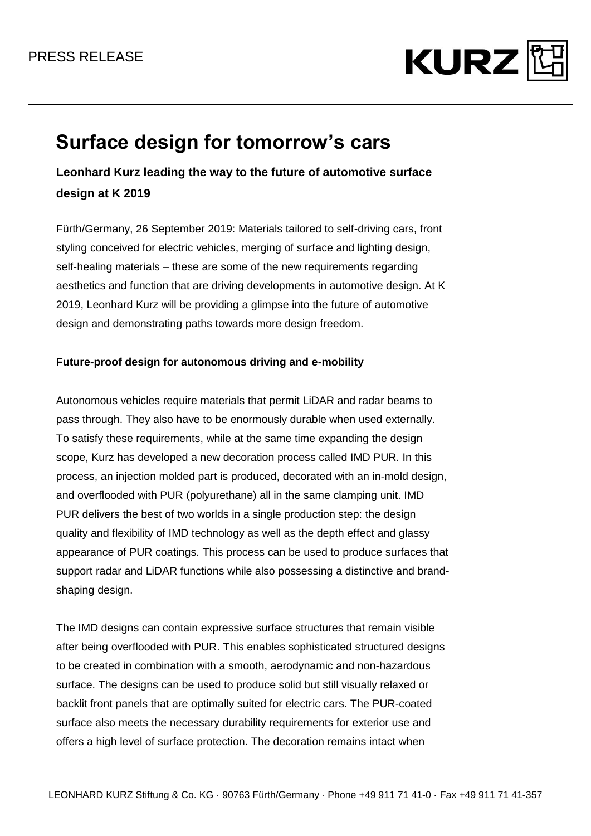

# **Surface design for tomorrow's cars**

### **Leonhard Kurz leading the way to the future of automotive surface design at K 2019**

Fürth/Germany, 26 September 2019: Materials tailored to self-driving cars, front styling conceived for electric vehicles, merging of surface and lighting design, self-healing materials – these are some of the new requirements regarding aesthetics and function that are driving developments in automotive design. At K 2019, Leonhard Kurz will be providing a glimpse into the future of automotive design and demonstrating paths towards more design freedom.

#### **Future-proof design for autonomous driving and e-mobility**

Autonomous vehicles require materials that permit LiDAR and radar beams to pass through. They also have to be enormously durable when used externally. To satisfy these requirements, while at the same time expanding the design scope, Kurz has developed a new decoration process called IMD PUR. In this process, an injection molded part is produced, decorated with an in-mold design, and overflooded with PUR (polyurethane) all in the same clamping unit. IMD PUR delivers the best of two worlds in a single production step: the design quality and flexibility of IMD technology as well as the depth effect and glassy appearance of PUR coatings. This process can be used to produce surfaces that support radar and LiDAR functions while also possessing a distinctive and brandshaping design.

The IMD designs can contain expressive surface structures that remain visible after being overflooded with PUR. This enables sophisticated structured designs to be created in combination with a smooth, aerodynamic and non-hazardous surface. The designs can be used to produce solid but still visually relaxed or backlit front panels that are optimally suited for electric cars. The PUR-coated surface also meets the necessary durability requirements for exterior use and offers a high level of surface protection. The decoration remains intact when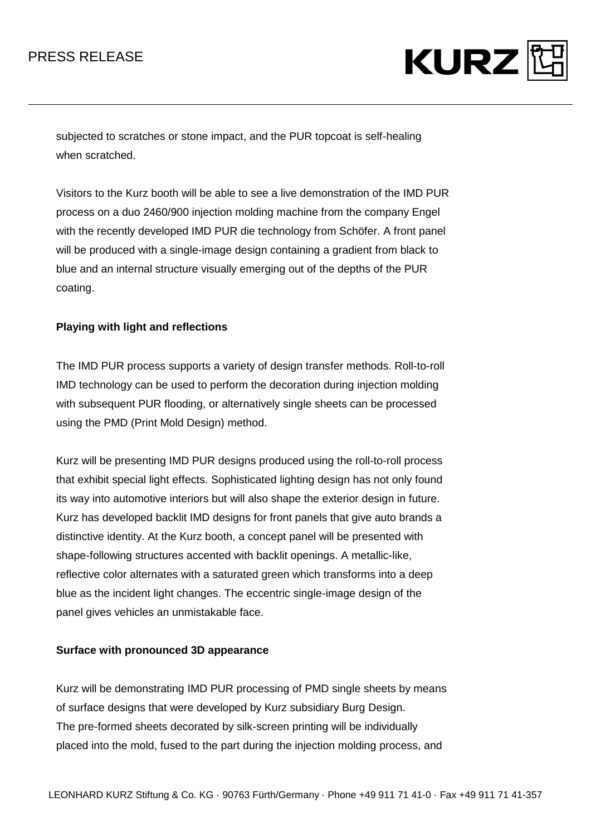

subjected to scratches or stone impact, and the PUR topcoat is self-healing when scratched.

Visitors to the Kurz booth will be able to see a live demonstration of the IMD PUR process on a duo 2460/900 injection molding machine from the company Engel with the recently developed IMD PUR die technology from Schöfer. A front panel will be produced with a single-image design containing a gradient from black to blue and an internal structure visually emerging out of the depths of the PUR coating.

#### **Playing with light and reflections**

The IMD PUR process supports a variety of design transfer methods. Roll-to-roll IMD technology can be used to perform the decoration during injection molding with subsequent PUR flooding, or alternatively single sheets can be processed using the PMD (Print Mold Design) method.

Kurz will be presenting IMD PUR designs produced using the roll-to-roll process that exhibit special light effects. Sophisticated lighting design has not only found its way into automotive interiors but will also shape the exterior design in future. Kurz has developed backlit IMD designs for front panels that give auto brands a distinctive identity. At the Kurz booth, a concept panel will be presented with shape-following structures accented with backlit openings. A metallic-like, reflective color alternates with a saturated green which transforms into a deep blue as the incident light changes. The eccentric single-image design of the panel gives vehicles an unmistakable face.

#### **Surface with pronounced 3D appearance**

Kurz will be demonstrating IMD PUR processing of PMD single sheets by means of surface designs that were developed by Kurz subsidiary Burg Design. The pre-formed sheets decorated by silk-screen printing will be individually placed into the mold, fused to the part during the injection molding process, and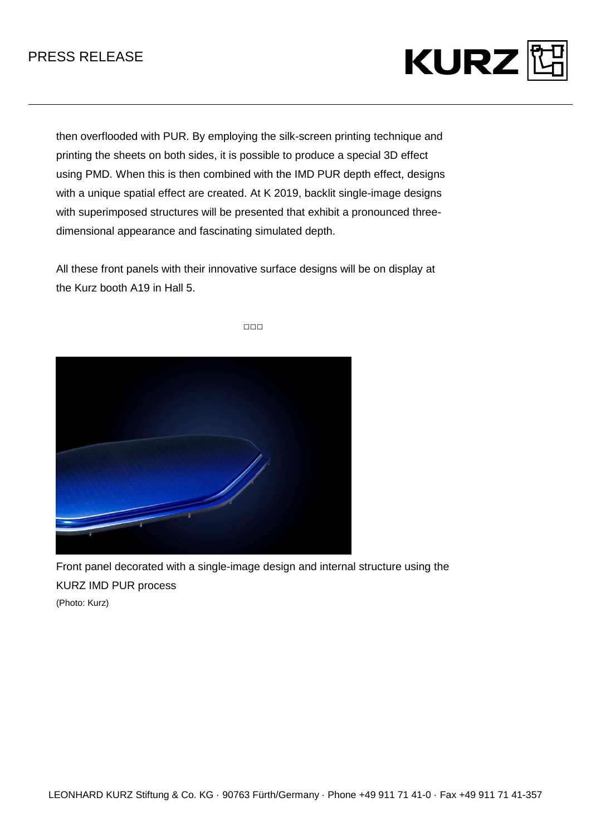## PRESS RELEASE



then overflooded with PUR. By employing the silk-screen printing technique and printing the sheets on both sides, it is possible to produce a special 3D effect using PMD. When this is then combined with the IMD PUR depth effect, designs with a unique spatial effect are created. At K 2019, backlit single-image designs with superimposed structures will be presented that exhibit a pronounced threedimensional appearance and fascinating simulated depth.

All these front panels with their innovative surface designs will be on display at the Kurz booth A19 in Hall 5.

□□□



Front panel decorated with a single-image design and internal structure using the KURZ IMD PUR process (Photo: Kurz)